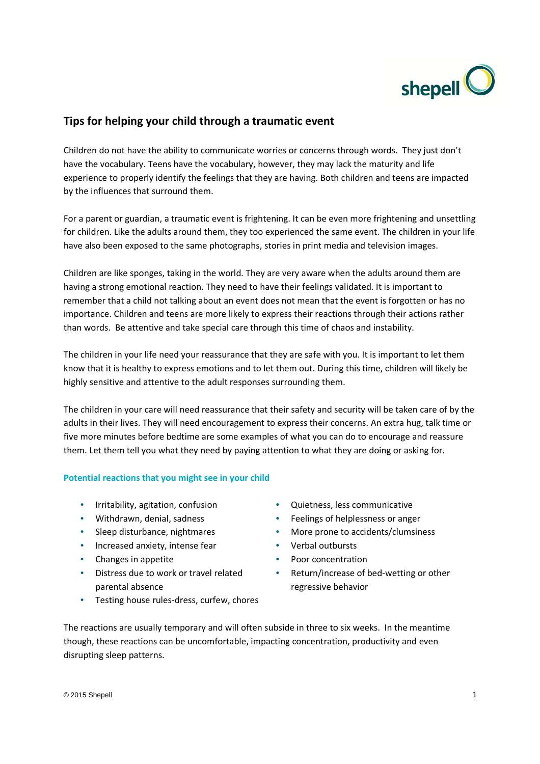

# **Tips for helping your child through a traumatic event**

Children do not have the ability to communicate worries or concerns through words. They just don't have the vocabulary. Teens have the vocabulary, however, they may lack the maturity and life experience to properly identify the feelings that they are having. Both children and teens are impacted by the influences that surround them.

For a parent or guardian, a traumatic event is frightening. It can be even more frightening and unsettling for children. Like the adults around them, they too experienced the same event. The children in your life have also been exposed to the same photographs, stories in print media and television images.

Children are like sponges, taking in the world. They are very aware when the adults around them are having a strong emotional reaction. They need to have their feelings validated. It is important to remember that a child not talking about an event does not mean that the event is forgotten or has no importance. Children and teens are more likely to express their reactions through their actions rather than words. Be attentive and take special care through this time of chaos and instability.

The children in your life need your reassurance that they are safe with you. It is important to let them know that it is healthy to express emotions and to let them out. During this time, children will likely be highly sensitive and attentive to the adult responses surrounding them.

The children in your care will need reassurance that their safety and security will be taken care of by the adults in their lives. They will need encouragement to express their concerns. An extra hug, talk time or five more minutes before bedtime are some examples of what you can do to encourage and reassure them. Let them tell you what they need by paying attention to what they are doing or asking for.

## **Potential reactions that you might see in your child**

- Irritability, agitation, confusion Quietness, less communicative
- 
- 
- Increased anxiety, intense fear Verbal outbursts
- Changes in appetite **•** Poor concentration
- Distress due to work or travel related parental absence
- Testing house rules-dress, curfew, chores
- 
- Withdrawn, denial, sadness • Feelings of helplessness or anger
- Sleep disturbance, nightmares More prone to accidents/clumsiness
	-
	-
	- Return/increase of bed-wetting or other regressive behavior

The reactions are usually temporary and will often subside in three to six weeks. In the meantime though, these reactions can be uncomfortable, impacting concentration, productivity and even disrupting sleep patterns.